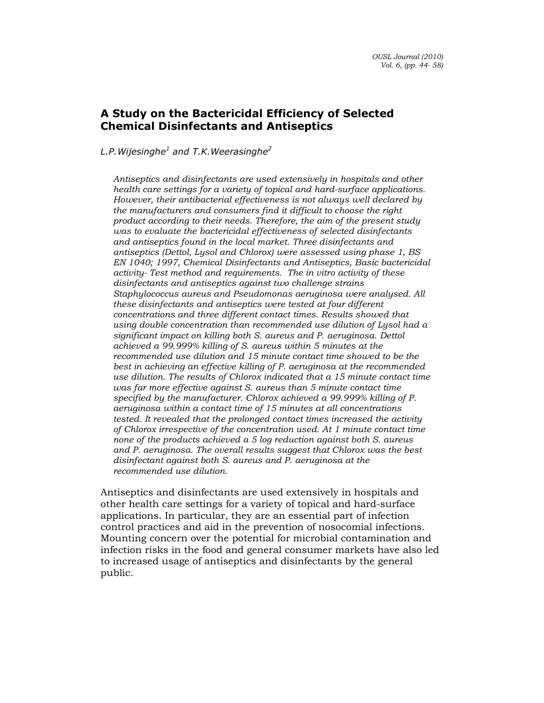# A Study on the Bactericidal Efficiency of Selected Chemical Disinfectants and Antiseptics

L.P. Wijesinghe $^1$  and T.K. Weerasinghe $^2$ 

Antiseptics and disinfectants are used extensively in hospitals and other health care settings for a variety of topical and hard-surface applications. However, their antibacterial effectiveness is not always well declared by the manufacturers and consumers find it difficult to choose the right product according to their needs. Therefore, the aim of the present study was to evaluate the bactericidal effectiveness of selected disinfectants and antiseptics found in the local market. Three disinfectants and antiseptics (Dettol, Lysol and Chlorox) were assessed using phase 1, BS EN 1040; 1997, Chemical Disinfectants and Antiseptics, Basic bactericidal activity- Test method and requirements. The in vitro activity of these disinfectants and antiseptics against two challenge strains Staphylococcus aureus and Pseudomonas aeruginosa were analysed. All these disinfectants and antiseptics were tested at four different concentrations and three different contact times. Results showed that using double concentration than recommended use dilution of Lysol had a significant impact on killing both S. aureus and P. aeruginosa. Dettol achieved a 99.999% killing of S. aureus within 5 minutes at the recommended use dilution and 15 minute contact time showed to be the best in achieving an effective killing of P. aeruginosa at the recommended use dilution. The results of Chlorox indicated that a 15 minute contact time was far more effective against S. aureus than 5 minute contact time specified by the manufacturer. Chlorox achieved a 99.999% killing of P. aeruginosa within a contact time of 15 minutes at all concentrations tested. It revealed that the prolonged contact times increased the activity of Chlorox irrespective of the concentration used. At 1 minute contact time none of the products achieved a 5 log reduction against both S. aureus and P. aeruginosa. The overall results suggest that Chlorox was the best disinfectant against both S. aureus and P. aeruginosa at the recommended use dilution.

Antiseptics and disinfectants are used extensively in hospitals and other health care settings for a variety of topical and hard-surface applications. In particular, they are an essential part of infection control practices and aid in the prevention of nosocomial infections. Mounting concern over the potential for microbial contamination and infection risks in the food and general consumer markets have also led to increased usage of antiseptics and disinfectants by the general public.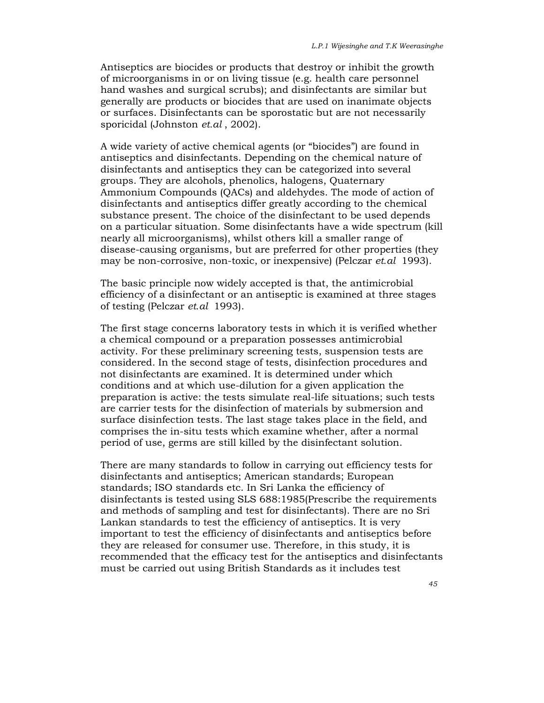Antiseptics are biocides or products that destroy or inhibit the growth of microorganisms in or on living tissue (e.g. health care personnel hand washes and surgical scrubs); and disinfectants are similar but generally are products or biocides that are used on inanimate objects or surfaces. Disinfectants can be sporostatic but are not necessarily sporicidal (Johnston et.al, 2002).

A wide variety of active chemical agents (or "biocides") are found in antiseptics and disinfectants. Depending on the chemical nature of disinfectants and antiseptics they can be categorized into several groups. They are alcohols, phenolics, halogens, Quaternary Ammonium Compounds (QACs) and aldehydes. The mode of action of disinfectants and antiseptics differ greatly according to the chemical substance present. The choice of the disinfectant to be used depends on a particular situation. Some disinfectants have a wide spectrum (kill nearly all microorganisms), whilst others kill a smaller range of disease-causing organisms, but are preferred for other properties (they may be non-corrosive, non-toxic, or inexpensive) (Pelczar et.al 1993).

The basic principle now widely accepted is that, the antimicrobial efficiency of a disinfectant or an antiseptic is examined at three stages of testing (Pelczar et.al 1993).

The first stage concerns laboratory tests in which it is verified whether a chemical compound or a preparation possesses antimicrobial activity. For these preliminary screening tests, suspension tests are considered. In the second stage of tests, disinfection procedures and not disinfectants are examined. It is determined under which conditions and at which use-dilution for a given application the preparation is active: the tests simulate real-life situations; such tests are carrier tests for the disinfection of materials by submersion and surface disinfection tests. The last stage takes place in the field, and comprises the in-situ tests which examine whether, after a normal period of use, germs are still killed by the disinfectant solution.

There are many standards to follow in carrying out efficiency tests for disinfectants and antiseptics; American standards; European standards; ISO standards etc. In Sri Lanka the efficiency of disinfectants is tested using SLS 688:1985(Prescribe the requirements and methods of sampling and test for disinfectants). There are no Sri Lankan standards to test the efficiency of antiseptics. It is very important to test the efficiency of disinfectants and antiseptics before they are released for consumer use. Therefore, in this study, it is recommended that the efficacy test for the antiseptics and disinfectants must be carried out using British Standards as it includes test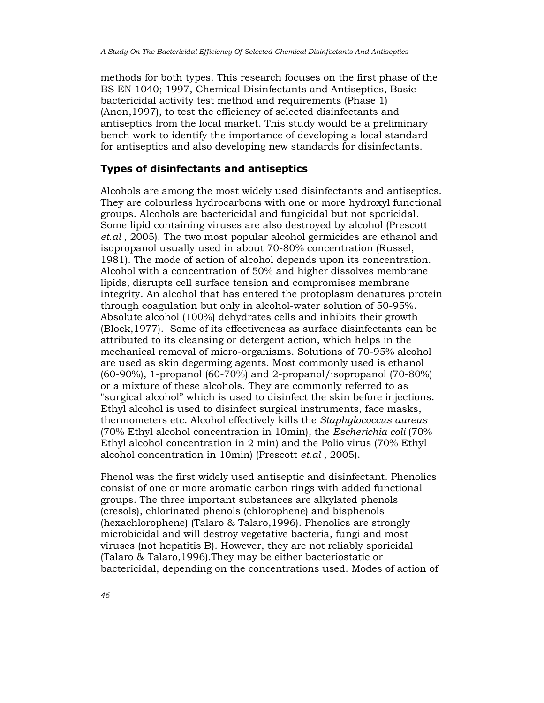methods for both types. This research focuses on the first phase of the BS EN 1040; 1997, Chemical Disinfectants and Antiseptics, Basic bactericidal activity test method and requirements (Phase 1) (Anon,1997), to test the efficiency of selected disinfectants and antiseptics from the local market. This study would be a preliminary bench work to identify the importance of developing a local standard for antiseptics and also developing new standards for disinfectants.

# Types of disinfectants and antiseptics

Alcohols are among the most widely used disinfectants and antiseptics. They are colourless hydrocarbons with one or more hydroxyl functional groups. Alcohols are bactericidal and fungicidal but not sporicidal. Some lipid containing viruses are also destroyed by alcohol (Prescott et.al , 2005). The two most popular alcohol germicides are ethanol and isopropanol usually used in about 70-80% concentration (Russel, 1981). The mode of action of alcohol depends upon its concentration. Alcohol with a concentration of 50% and higher dissolves membrane lipids, disrupts cell surface tension and compromises membrane integrity. An alcohol that has entered the protoplasm denatures protein through coagulation but only in alcohol-water solution of 50-95%. Absolute alcohol (100%) dehydrates cells and inhibits their growth (Block,1977). Some of its effectiveness as surface disinfectants can be attributed to its cleansing or detergent action, which helps in the mechanical removal of micro-organisms. Solutions of 70-95% alcohol are used as skin degerming agents. Most commonly used is ethanol (60-90%), 1-propanol (60-70%) and 2-propanol/isopropanol (70-80%) or a mixture of these alcohols. They are commonly referred to as "surgical alcohol" which is used to disinfect the skin before injections. Ethyl alcohol is used to disinfect surgical instruments, face masks, thermometers etc. Alcohol effectively kills the Staphylococcus aureus (70% Ethyl alcohol concentration in 10min), the Escherichia coli (70% Ethyl alcohol concentration in 2 min) and the Polio virus (70% Ethyl alcohol concentration in 10min) (Prescott et.al , 2005).

Phenol was the first widely used antiseptic and disinfectant. Phenolics consist of one or more aromatic carbon rings with added functional groups. The three important substances are alkylated phenols (cresols), chlorinated phenols (chlorophene) and bisphenols (hexachlorophene) (Talaro & Talaro,1996). Phenolics are strongly microbicidal and will destroy vegetative bacteria, fungi and most viruses (not hepatitis B). However, they are not reliably sporicidal (Talaro & Talaro,1996).They may be either bacteriostatic or bactericidal, depending on the concentrations used. Modes of action of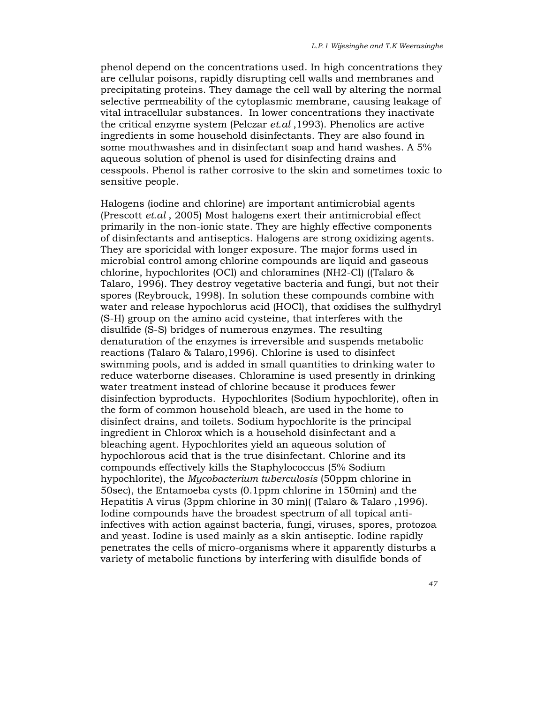phenol depend on the concentrations used. In high concentrations they are cellular poisons, rapidly disrupting cell walls and membranes and precipitating proteins. They damage the cell wall by altering the normal selective permeability of the cytoplasmic membrane, causing leakage of vital intracellular substances. In lower concentrations they inactivate the critical enzyme system (Pelczar et.al ,1993). Phenolics are active ingredients in some household disinfectants. They are also found in some mouthwashes and in disinfectant soap and hand washes. A 5% aqueous solution of phenol is used for disinfecting drains and cesspools. Phenol is rather corrosive to the skin and sometimes toxic to sensitive people.

Halogens (iodine and chlorine) are important antimicrobial agents (Prescott et.al , 2005) Most halogens exert their antimicrobial effect primarily in the non-ionic state. They are highly effective components of disinfectants and antiseptics. Halogens are strong oxidizing agents. They are sporicidal with longer exposure. The major forms used in microbial control among chlorine compounds are liquid and gaseous chlorine, hypochlorites (OCl) and chloramines (NH2-Cl) ((Talaro & Talaro, 1996). They destroy vegetative bacteria and fungi, but not their spores (Reybrouck, 1998). In solution these compounds combine with water and release hypochlorus acid (HOCl), that oxidises the sulfhydryl (S-H) group on the amino acid cysteine, that interferes with the disulfide (S-S) bridges of numerous enzymes. The resulting denaturation of the enzymes is irreversible and suspends metabolic reactions (Talaro & Talaro,1996). Chlorine is used to disinfect swimming pools, and is added in small quantities to drinking water to reduce waterborne diseases. Chloramine is used presently in drinking water treatment instead of chlorine because it produces fewer disinfection byproducts. Hypochlorites (Sodium hypochlorite), often in the form of common household bleach, are used in the home to disinfect drains, and toilets. Sodium hypochlorite is the principal ingredient in Chlorox which is a household disinfectant and a bleaching agent. Hypochlorites yield an aqueous solution of hypochlorous acid that is the true disinfectant. Chlorine and its compounds effectively kills the Staphylococcus (5% Sodium hypochlorite), the Mycobacterium tuberculosis (50ppm chlorine in 50sec), the Entamoeba cysts (0.1ppm chlorine in 150min) and the Hepatitis A virus (3ppm chlorine in 30 min)( (Talaro & Talaro ,1996). Iodine compounds have the broadest spectrum of all topical antiinfectives with action against bacteria, fungi, viruses, spores, protozoa and yeast. Iodine is used mainly as a skin antiseptic. Iodine rapidly penetrates the cells of micro-organisms where it apparently disturbs a variety of metabolic functions by interfering with disulfide bonds of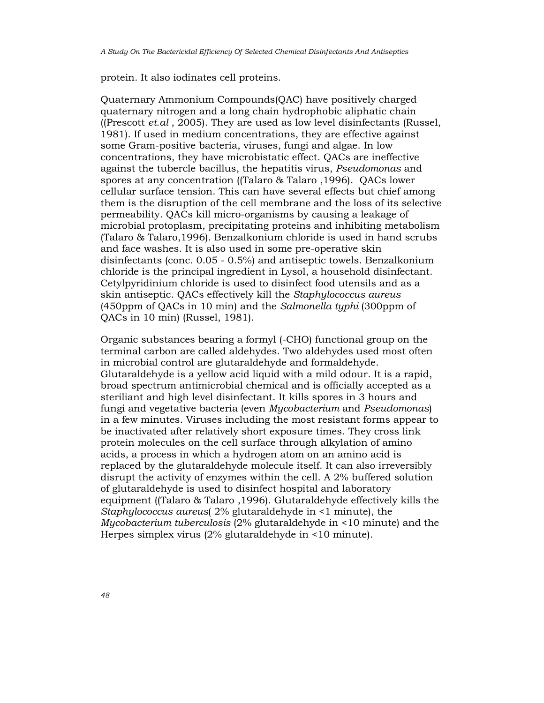protein. It also iodinates cell proteins.

Quaternary Ammonium Compounds(QAC) have positively charged quaternary nitrogen and a long chain hydrophobic aliphatic chain ((Prescott  $et.al$ , 2005). They are used as low level disinfectants (Russel, 1981). If used in medium concentrations, they are effective against some Gram-positive bacteria, viruses, fungi and algae. In low concentrations, they have microbistatic effect. QACs are ineffective against the tubercle bacillus, the hepatitis virus, Pseudomonas and spores at any concentration ((Talaro & Talaro ,1996). QACs lower cellular surface tension. This can have several effects but chief among them is the disruption of the cell membrane and the loss of its selective permeability. QACs kill micro-organisms by causing a leakage of microbial protoplasm, precipitating proteins and inhibiting metabolism (Talaro & Talaro,1996). Benzalkonium chloride is used in hand scrubs and face washes. It is also used in some pre-operative skin disinfectants (conc. 0.05 - 0.5%) and antiseptic towels. Benzalkonium chloride is the principal ingredient in Lysol, a household disinfectant. Cetylpyridinium chloride is used to disinfect food utensils and as a skin antiseptic. QACs effectively kill the Staphylococcus aureus (450ppm of QACs in 10 min) and the Salmonella typhi (300ppm of QACs in 10 min) (Russel, 1981).

Organic substances bearing a formyl (-CHO) functional group on the terminal carbon are called aldehydes. Two aldehydes used most often in microbial control are glutaraldehyde and formaldehyde. Glutaraldehyde is a yellow acid liquid with a mild odour. It is a rapid, broad spectrum antimicrobial chemical and is officially accepted as a steriliant and high level disinfectant. It kills spores in 3 hours and fungi and vegetative bacteria (even Mycobacterium and Pseudomonas) in a few minutes. Viruses including the most resistant forms appear to be inactivated after relatively short exposure times. They cross link protein molecules on the cell surface through alkylation of amino acids, a process in which a hydrogen atom on an amino acid is replaced by the glutaraldehyde molecule itself. It can also irreversibly disrupt the activity of enzymes within the cell. A 2% buffered solution of glutaraldehyde is used to disinfect hospital and laboratory equipment ((Talaro & Talaro ,1996). Glutaraldehyde effectively kills the Staphylococcus aureus( 2% glutaraldehyde in <1 minute), the Mycobacterium tuberculosis (2% glutaraldehyde in <10 minute) and the Herpes simplex virus (2% glutaraldehyde in <10 minute).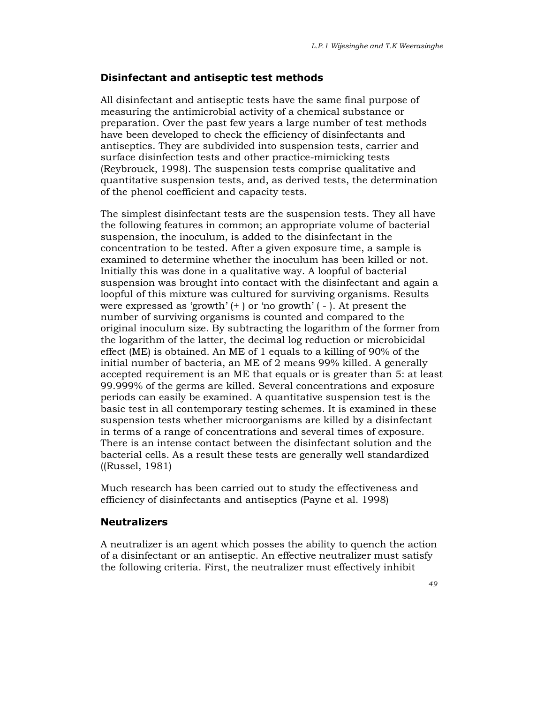## Disinfectant and antiseptic test methods

All disinfectant and antiseptic tests have the same final purpose of measuring the antimicrobial activity of a chemical substance or preparation. Over the past few years a large number of test methods have been developed to check the efficiency of disinfectants and antiseptics. They are subdivided into suspension tests, carrier and surface disinfection tests and other practice-mimicking tests (Reybrouck, 1998). The suspension tests comprise qualitative and quantitative suspension tests, and, as derived tests, the determination of the phenol coefficient and capacity tests.

The simplest disinfectant tests are the suspension tests. They all have the following features in common; an appropriate volume of bacterial suspension, the inoculum, is added to the disinfectant in the concentration to be tested. After a given exposure time, a sample is examined to determine whether the inoculum has been killed or not. Initially this was done in a qualitative way. A loopful of bacterial suspension was brought into contact with the disinfectant and again a loopful of this mixture was cultured for surviving organisms. Results were expressed as 'growth' (+ ) or 'no growth' ( - ). At present the number of surviving organisms is counted and compared to the original inoculum size. By subtracting the logarithm of the former from the logarithm of the latter, the decimal log reduction or microbicidal effect (ME) is obtained. An ME of 1 equals to a killing of 90% of the initial number of bacteria, an ME of 2 means 99% killed. A generally accepted requirement is an ME that equals or is greater than 5: at least 99.999% of the germs are killed. Several concentrations and exposure periods can easily be examined. A quantitative suspension test is the basic test in all contemporary testing schemes. It is examined in these suspension tests whether microorganisms are killed by a disinfectant in terms of a range of concentrations and several times of exposure. There is an intense contact between the disinfectant solution and the bacterial cells. As a result these tests are generally well standardized ((Russel, 1981)

Much research has been carried out to study the effectiveness and efficiency of disinfectants and antiseptics (Payne et al. 1998)

## Neutralizers

A neutralizer is an agent which posses the ability to quench the action of a disinfectant or an antiseptic. An effective neutralizer must satisfy the following criteria. First, the neutralizer must effectively inhibit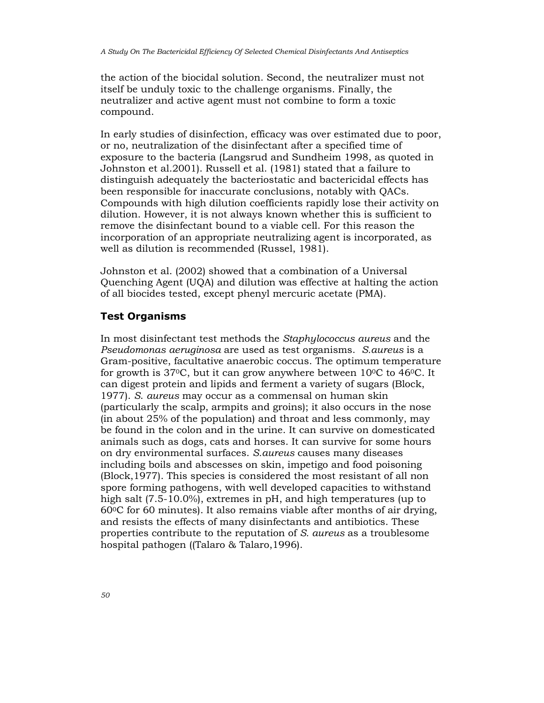the action of the biocidal solution. Second, the neutralizer must not itself be unduly toxic to the challenge organisms. Finally, the neutralizer and active agent must not combine to form a toxic compound.

In early studies of disinfection, efficacy was over estimated due to poor, or no, neutralization of the disinfectant after a specified time of exposure to the bacteria (Langsrud and Sundheim 1998, as quoted in Johnston et al.2001). Russell et al. (1981) stated that a failure to distinguish adequately the bacteriostatic and bactericidal effects has been responsible for inaccurate conclusions, notably with QACs. Compounds with high dilution coefficients rapidly lose their activity on dilution. However, it is not always known whether this is sufficient to remove the disinfectant bound to a viable cell. For this reason the incorporation of an appropriate neutralizing agent is incorporated, as well as dilution is recommended (Russel, 1981).

Johnston et al. (2002) showed that a combination of a Universal Quenching Agent (UQA) and dilution was effective at halting the action of all biocides tested, except phenyl mercuric acetate (PMA).

# Test Organisms

In most disinfectant test methods the Staphylococcus aureus and the Pseudomonas aeruginosa are used as test organisms. S.aureus is a Gram-positive, facultative anaerobic coccus. The optimum temperature for growth is  $37^{\circ}$ C, but it can grow anywhere between  $10^{\circ}$ C to  $46^{\circ}$ C. It can digest protein and lipids and ferment a variety of sugars (Block, 1977). S. aureus may occur as a commensal on human skin (particularly the scalp, armpits and groins); it also occurs in the nose (in about 25% of the population) and throat and less commonly, may be found in the colon and in the urine. It can survive on domesticated animals such as dogs, cats and horses. It can survive for some hours on dry environmental surfaces. S.aureus causes many diseases including boils and abscesses on skin, impetigo and food poisoning (Block,1977). This species is considered the most resistant of all non spore forming pathogens, with well developed capacities to withstand high salt (7.5-10.0%), extremes in pH, and high temperatures (up to  $60\degree$ C for 60 minutes). It also remains viable after months of air drying, and resists the effects of many disinfectants and antibiotics. These properties contribute to the reputation of S. aureus as a troublesome hospital pathogen ((Talaro & Talaro,1996).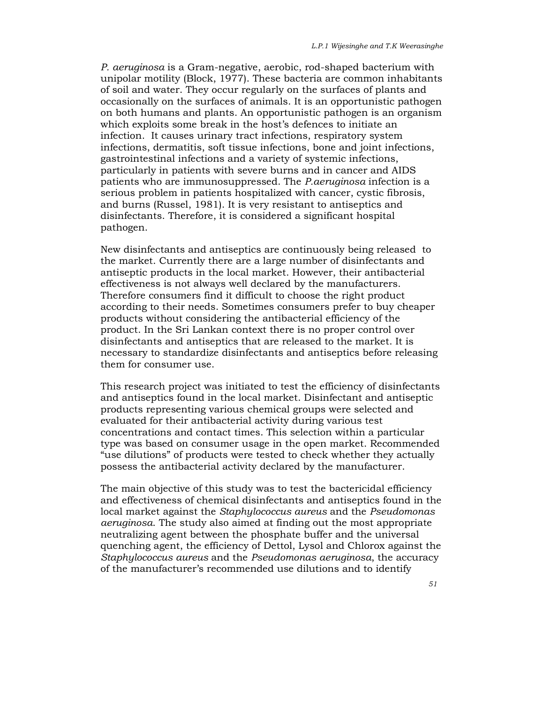P. aeruginosa is a Gram-negative, aerobic, rod-shaped bacterium with unipolar motility (Block, 1977). These bacteria are common inhabitants of soil and water. They occur regularly on the surfaces of plants and occasionally on the surfaces of animals. It is an opportunistic pathogen on both humans and plants. An opportunistic pathogen is an organism which exploits some break in the host's defences to initiate an infection. It causes urinary tract infections, respiratory system infections, dermatitis, soft tissue infections, bone and joint infections, gastrointestinal infections and a variety of systemic infections, particularly in patients with severe burns and in cancer and AIDS patients who are immunosuppressed. The P.aeruginosa infection is a serious problem in patients hospitalized with cancer, cystic fibrosis, and burns (Russel, 1981). It is very resistant to antiseptics and disinfectants. Therefore, it is considered a significant hospital pathogen.

New disinfectants and antiseptics are continuously being released to the market. Currently there are a large number of disinfectants and antiseptic products in the local market. However, their antibacterial effectiveness is not always well declared by the manufacturers. Therefore consumers find it difficult to choose the right product according to their needs. Sometimes consumers prefer to buy cheaper products without considering the antibacterial efficiency of the product. In the Sri Lankan context there is no proper control over disinfectants and antiseptics that are released to the market. It is necessary to standardize disinfectants and antiseptics before releasing them for consumer use.

This research project was initiated to test the efficiency of disinfectants and antiseptics found in the local market. Disinfectant and antiseptic products representing various chemical groups were selected and evaluated for their antibacterial activity during various test concentrations and contact times. This selection within a particular type was based on consumer usage in the open market. Recommended "use dilutions" of products were tested to check whether they actually possess the antibacterial activity declared by the manufacturer.

The main objective of this study was to test the bactericidal efficiency and effectiveness of chemical disinfectants and antiseptics found in the local market against the Staphylococcus aureus and the Pseudomonas aeruginosa. The study also aimed at finding out the most appropriate neutralizing agent between the phosphate buffer and the universal quenching agent, the efficiency of Dettol, Lysol and Chlorox against the Staphylococcus aureus and the Pseudomonas aeruginosa, the accuracy of the manufacturer's recommended use dilutions and to identify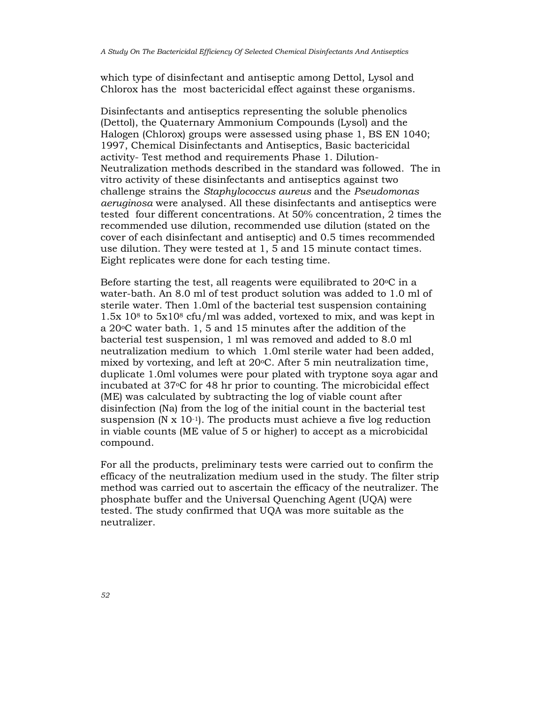which type of disinfectant and antiseptic among Dettol, Lysol and Chlorox has the most bactericidal effect against these organisms.

Disinfectants and antiseptics representing the soluble phenolics (Dettol), the Quaternary Ammonium Compounds (Lysol) and the Halogen (Chlorox) groups were assessed using phase 1, BS EN 1040; 1997, Chemical Disinfectants and Antiseptics, Basic bactericidal activity- Test method and requirements Phase 1. Dilution-Neutralization methods described in the standard was followed. The in vitro activity of these disinfectants and antiseptics against two challenge strains the Staphylococcus aureus and the Pseudomonas aeruginosa were analysed. All these disinfectants and antiseptics were tested four different concentrations. At 50% concentration, 2 times the recommended use dilution, recommended use dilution (stated on the cover of each disinfectant and antiseptic) and 0.5 times recommended use dilution. They were tested at 1, 5 and 15 minute contact times. Eight replicates were done for each testing time.

Before starting the test, all reagents were equilibrated to  $20^{\circ}$ C in a water-bath. An 8.0 ml of test product solution was added to 1.0 ml of sterile water. Then 1.0ml of the bacterial test suspension containing 1.5x 108 to 5x108 cfu/ml was added, vortexed to mix, and was kept in a 20oC water bath. 1, 5 and 15 minutes after the addition of the bacterial test suspension, 1 ml was removed and added to 8.0 ml neutralization medium to which 1.0ml sterile water had been added, mixed by vortexing, and left at  $20^{\circ}$ C. After 5 min neutralization time, duplicate 1.0ml volumes were pour plated with tryptone soya agar and incubated at 37oC for 48 hr prior to counting. The microbicidal effect (ME) was calculated by subtracting the log of viable count after disinfection (Na) from the log of the initial count in the bacterial test suspension  $(N \times 10^{-1})$ . The products must achieve a five log reduction in viable counts (ME value of 5 or higher) to accept as a microbicidal compound.

For all the products, preliminary tests were carried out to confirm the efficacy of the neutralization medium used in the study. The filter strip method was carried out to ascertain the efficacy of the neutralizer. The phosphate buffer and the Universal Quenching Agent (UQA) were tested. The study confirmed that UQA was more suitable as the neutralizer.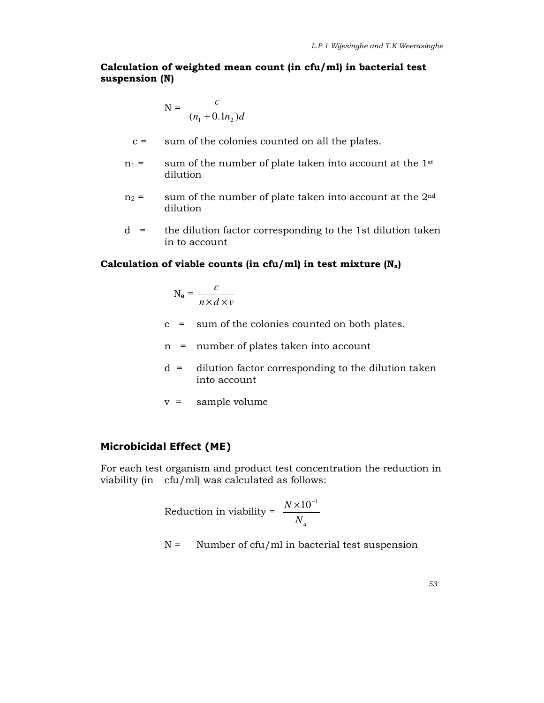# Calculation of weighted mean count (in cfu/ml) in bacterial test suspension (N)

$$
N = \frac{c}{(n_1 + 0.1n_2)d}
$$

- c = sum of the colonies counted on all the plates.
- $n_1$  = sum of the number of plate taken into account at the 1<sup>st</sup> dilution
- $n_2$  = sum of the number of plate taken into account at the  $2<sup>nd</sup>$ dilution
- d = the dilution factor corresponding to the 1st dilution taken in to account

# Calculation of viable counts (in cfu/ml) in test mixture  $(N_a)$

$$
N_{a} = \frac{c}{n \times d \times v}
$$

- c = sum of the colonies counted on both plates.
- n = number of plates taken into account
- d = dilution factor corresponding to the dilution taken into account
- v = sample volume

# Microbicidal Effect (ME)

For each test organism and product test concentration the reduction in viability (in cfu/ml) was calculated as follows:

Reduction in viability = 
$$
\frac{N \times 10^{-1}}{N_a}
$$

 $N =$  Number of cfu/ml in bacterial test suspension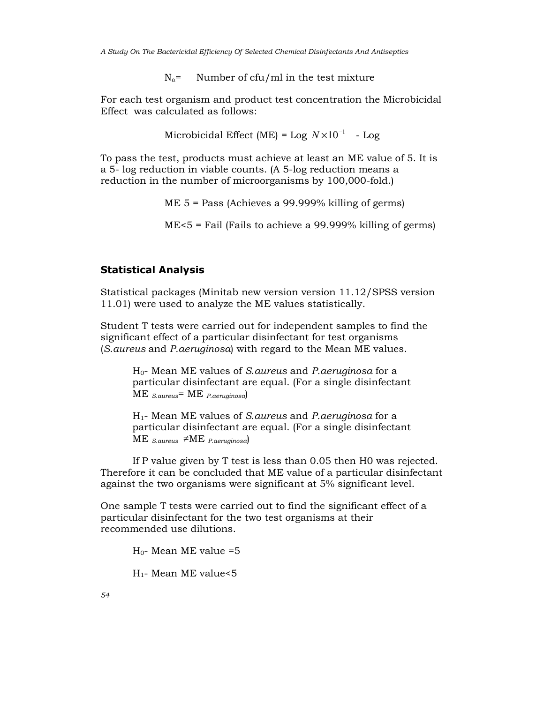A Study On The Bactericidal Efficiency Of Selected Chemical Disinfectants And Antiseptics

 $N_a$ = Number of cfu/ml in the test mixture

For each test organism and product test concentration the Microbicidal Effect was calculated as follows:

Microbicidal Effect (ME) = Log  $N \times 10^{-1}$  - Log

To pass the test, products must achieve at least an ME value of 5. It is a 5- log reduction in viable counts. (A 5-log reduction means a reduction in the number of microorganisms by 100,000-fold.)

ME 5 = Pass (Achieves a 99.999% killing of germs)

ME<5 = Fail (Fails to achieve a 99.999% killing of germs)

## Statistical Analysis

Statistical packages (Minitab new version version 11.12/SPSS version 11.01) were used to analyze the ME values statistically.

Student T tests were carried out for independent samples to find the significant effect of a particular disinfectant for test organisms (S.aureus and P.aeruginosa) with regard to the Mean ME values.

 H0- Mean ME values of S.aureus and P.aeruginosa for a particular disinfectant are equal. (For a single disinfectant  $ME$   $_{S. aureus}$  = ME  $_{P. aeruginosa}$ 

 H1- Mean ME values of S.aureus and P.aeruginosa for a particular disinfectant are equal. (For a single disinfectant ME  $_{S. aureus}$   $\neq$ ME  $_{P. aeruginosa}$ 

 If P value given by T test is less than 0.05 then H0 was rejected. Therefore it can be concluded that ME value of a particular disinfectant against the two organisms were significant at 5% significant level.

One sample T tests were carried out to find the significant effect of a particular disinfectant for the two test organisms at their recommended use dilutions.

 $H<sub>0</sub>$ - Mean ME value =5

H1- Mean ME value<5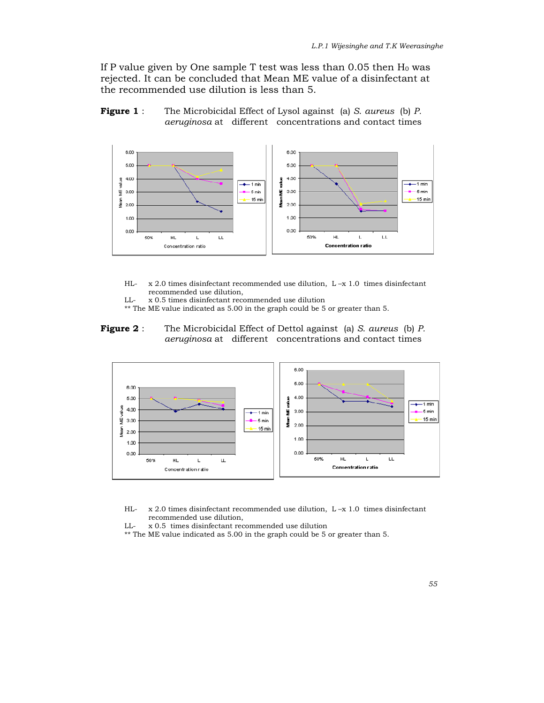If P value given by One sample T test was less than  $0.05$  then  $H_0$  was rejected. It can be concluded that Mean ME value of a disinfectant at the recommended use dilution is less than 5.





- HL- x 2.0 times disinfectant recommended use dilution, L –x 1.0 times disinfectant recommended use dilution,
- LL- x 0.5 times disinfectant recommended use dilution
- $^{\star\star}$  The ME value indicated as 5.00 in the graph could be 5 or greater than 5.
- Figure 2 : The Microbicidal Effect of Dettol against (a) S. aureus (b) P. aeruginosa at different concentrations and contact times



- HL- x 2.0 times disinfectant recommended use dilution, L –x 1.0 times disinfectant recommended use dilution,
- LL- x 0.5 times disinfectant recommended use dilution
- \*\* The ME value indicated as 5.00 in the graph could be 5 or greater than 5.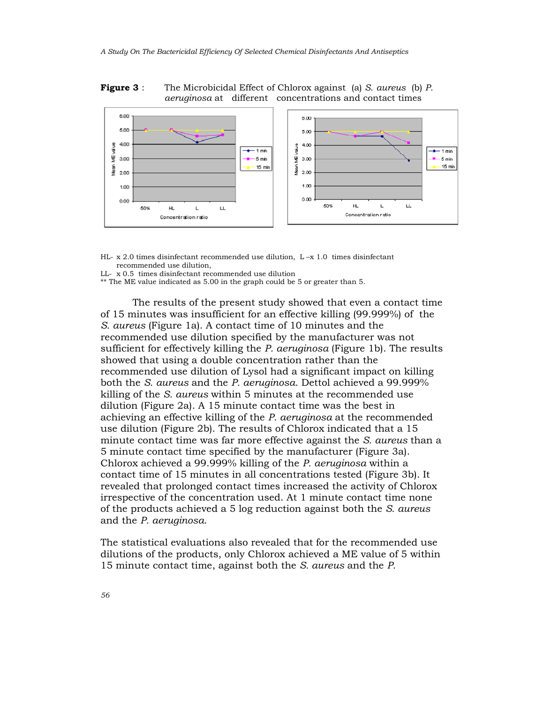#### **Figure 3** : The Microbicidal Effect of Chlorox against (a) S. *aureus* (b) P. aeruginosa at different concentrations and contact times



- HL-  $x$  2.0 times disinfectant recommended use dilution, L- $x$  1.0 times disinfectant recommended use dilution,
- LL- x 0.5 times disinfectant recommended use dilution
- \*\* The ME value indicated as 5.00 in the graph could be 5 or greater than 5.

 The results of the present study showed that even a contact time of 15 minutes was insufficient for an effective killing (99.999%) of the S. aureus (Figure 1a). A contact time of 10 minutes and the recommended use dilution specified by the manufacturer was not sufficient for effectively killing the P. aeruginosa (Figure 1b). The results showed that using a double concentration rather than the recommended use dilution of Lysol had a significant impact on killing both the S. aureus and the P. aeruginosa. Dettol achieved a 99.999% killing of the S. aureus within 5 minutes at the recommended use dilution (Figure 2a). A 15 minute contact time was the best in achieving an effective killing of the P. aeruginosa at the recommended use dilution (Figure 2b). The results of Chlorox indicated that a 15 minute contact time was far more effective against the S. aureus than a 5 minute contact time specified by the manufacturer (Figure 3a). Chlorox achieved a 99.999% killing of the P. aeruginosa within a contact time of 15 minutes in all concentrations tested (Figure 3b). It revealed that prolonged contact times increased the activity of Chlorox irrespective of the concentration used. At 1 minute contact time none of the products achieved a 5 log reduction against both the S. aureus and the P. aeruginosa.

The statistical evaluations also revealed that for the recommended use dilutions of the products, only Chlorox achieved a ME value of 5 within 15 minute contact time, against both the S. aureus and the P.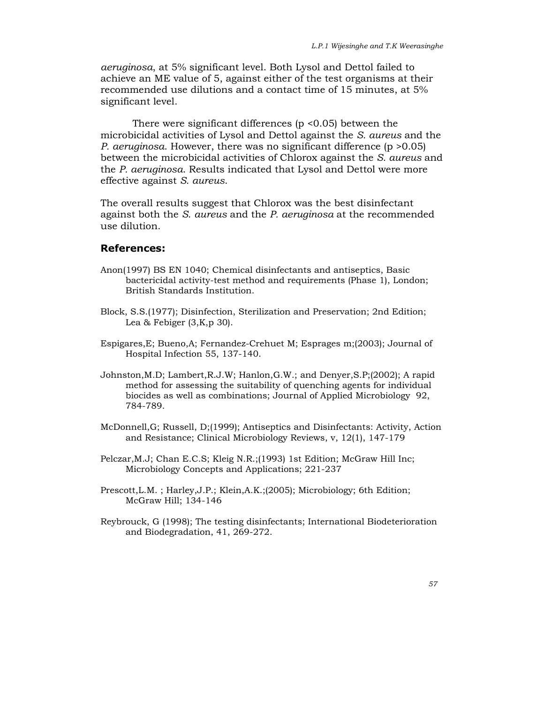aeruginosa, at 5% significant level. Both Lysol and Dettol failed to achieve an ME value of 5, against either of the test organisms at their recommended use dilutions and a contact time of 15 minutes, at 5% significant level.

 There were significant differences (p <0.05) between the microbicidal activities of Lysol and Dettol against the S. aureus and the P. aeruginosa. However, there was no significant difference (p >0.05) between the microbicidal activities of Chlorox against the S. aureus and the P. aeruginosa. Results indicated that Lysol and Dettol were more effective against S. aureus.

The overall results suggest that Chlorox was the best disinfectant against both the S. aureus and the P. aeruginosa at the recommended use dilution.

## References:

- Anon(1997) BS EN 1040; Chemical disinfectants and antiseptics, Basic bactericidal activity-test method and requirements (Phase 1), London; British Standards Institution.
- Block, S.S.(1977); Disinfection, Sterilization and Preservation; 2nd Edition; Lea & Febiger (3,K,p 30).
- Espigares,E; Bueno,A; Fernandez-Crehuet M; Esprages m;(2003); Journal of Hospital Infection 55, 137-140.
- Johnston,M.D; Lambert,R.J.W; Hanlon,G.W.; and Denyer,S.P;(2002); A rapid method for assessing the suitability of quenching agents for individual biocides as well as combinations; Journal of Applied Microbiology 92, 784-789.
- McDonnell,G; Russell, D;(1999); Antiseptics and Disinfectants: Activity, Action and Resistance; Clinical Microbiology Reviews, v, 12(1), 147-179
- Pelczar,M.J; Chan E.C.S; Kleig N.R.;(1993) 1st Edition; McGraw Hill Inc; Microbiology Concepts and Applications; 221-237
- Prescott,L.M. ; Harley,J.P.; Klein,A.K.;(2005); Microbiology; 6th Edition; McGraw Hill; 134-146
- Reybrouck, G (1998); The testing disinfectants; International Biodeterioration and Biodegradation, 41, 269-272.